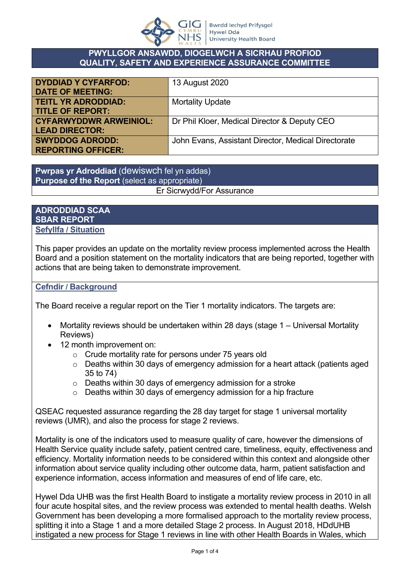

### **PWYLLGOR ANSAWDD, DIOGELWCH A SICRHAU PROFIOD QUALITY, SAFETY AND EXPERIENCE ASSURANCE COMMITTEE**

| <b>DYDDIAD Y CYFARFOD:</b><br><b>DATE OF MEETING:</b>  | 13 August 2020                                      |
|--------------------------------------------------------|-----------------------------------------------------|
| <b>TEITL YR ADRODDIAD:</b><br><b>TITLE OF REPORT:</b>  | <b>Mortality Update</b>                             |
| <b>CYFARWYDDWR ARWEINIOL:</b><br><b>LEAD DIRECTOR:</b> | Dr Phil Kloer, Medical Director & Deputy CEO        |
| <b>SWYDDOG ADRODD:</b><br><b>REPORTING OFFICER:</b>    | John Evans, Assistant Director, Medical Directorate |

**Pwrpas yr Adroddiad** (dewiswch fel yn addas) **Purpose of the Report** (select as appropriate)

# Er Sicrwydd/For Assurance

### **ADRODDIAD SCAA SBAR REPORT Sefyllfa / Situation**

This paper provides an update on the mortality review process implemented across the Health Board and a position statement on the mortality indicators that are being reported, together with actions that are being taken to demonstrate improvement.

## **Cefndir / Background**

The Board receive a regular report on the Tier 1 mortality indicators. The targets are:

- Mortality reviews should be undertaken within 28 days (stage 1 Universal Mortality Reviews)
- 12 month improvement on:
	- o Crude mortality rate for persons under 75 years old
	- o Deaths within 30 days of emergency admission for a heart attack (patients aged 35 to 74)
	- o Deaths within 30 days of emergency admission for a stroke
	- o Deaths within 30 days of emergency admission for a hip fracture

QSEAC requested assurance regarding the 28 day target for stage 1 universal mortality reviews (UMR), and also the process for stage 2 reviews.

Mortality is one of the indicators used to measure quality of care, however the dimensions of Health Service quality include safety, patient centred care, timeliness, equity, effectiveness and efficiency. Mortality information needs to be considered within this context and alongside other information about service quality including other outcome data, harm, patient satisfaction and experience information, access information and measures of end of life care, etc.

Hywel Dda UHB was the first Health Board to instigate a mortality review process in 2010 in all four acute hospital sites, and the review process was extended to mental health deaths. Welsh Government has been developing a more formalised approach to the mortality review process, splitting it into a Stage 1 and a more detailed Stage 2 process. In August 2018, HDdUHB instigated a new process for Stage 1 reviews in line with other Health Boards in Wales, which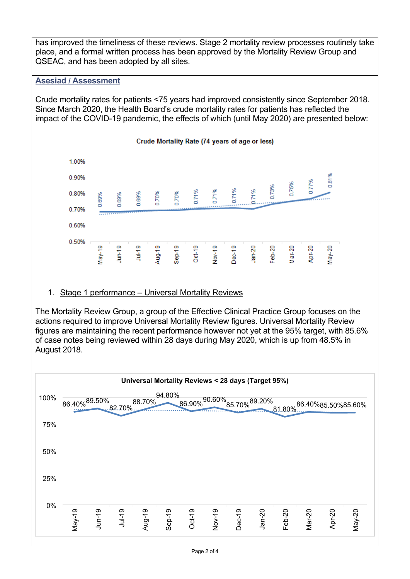has improved the timeliness of these reviews. Stage 2 mortality review processes routinely take place, and a formal written process has been approved by the Mortality Review Group and QSEAC, and has been adopted by all sites.

## **Asesiad / Assessment**

Crude mortality rates for patients <75 years had improved consistently since September 2018. Since March 2020, the Health Board's crude mortality rates for patients has reflected the impact of the COVID-19 pandemic, the effects of which (until May 2020) are presented below:



### 1. Stage 1 performance – Universal Mortality Reviews

The Mortality Review Group, a group of the Effective Clinical Practice Group focuses on the actions required to improve Universal Mortality Review figures. Universal Mortality Review figures are maintaining the recent performance however not yet at the 95% target, with 85.6% of case notes being reviewed within 28 days during May 2020, which is up from 48.5% in August 2018.

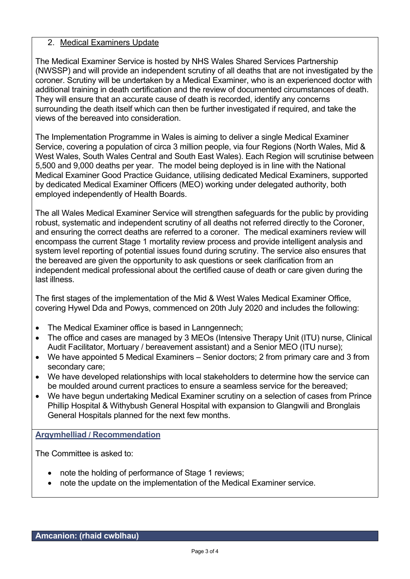### 2. Medical Examiners Update

The Medical Examiner Service is hosted by NHS Wales Shared Services Partnership (NWSSP) and will provide an independent scrutiny of all deaths that are not investigated by the coroner. Scrutiny will be undertaken by a Medical Examiner, who is an experienced doctor with additional training in death certification and the review of documented circumstances of death. They will ensure that an accurate cause of death is recorded, identify any concerns surrounding the death itself which can then be further investigated if required, and take the views of the bereaved into consideration.

The Implementation Programme in Wales is aiming to deliver a single Medical Examiner Service, covering a population of circa 3 million people, via four Regions (North Wales, Mid & West Wales, South Wales Central and South East Wales). Each Region will scrutinise between 5,500 and 9,000 deaths per year. The model being deployed is in line with the National Medical Examiner Good Practice Guidance, utilising dedicated Medical Examiners, supported by dedicated Medical Examiner Officers (MEO) working under delegated authority, both employed independently of Health Boards.

The all Wales Medical Examiner Service will strengthen safeguards for the public by providing robust, systematic and independent scrutiny of all deaths not referred directly to the Coroner, and ensuring the correct deaths are referred to a coroner. The medical examiners review will encompass the current Stage 1 mortality review process and provide intelligent analysis and system level reporting of potential issues found during scrutiny. The service also ensures that the bereaved are given the opportunity to ask questions or seek clarification from an independent medical professional about the certified cause of death or care given during the last illness.

The first stages of the implementation of the Mid & West Wales Medical Examiner Office, covering Hywel Dda and Powys, commenced on 20th July 2020 and includes the following:

- The Medical Examiner office is based in Lanngennech;
- The office and cases are managed by 3 MEOs (Intensive Therapy Unit (ITU) nurse, Clinical Audit Facilitator, Mortuary / bereavement assistant) and a Senior MEO (ITU nurse);
- We have appointed 5 Medical Examiners Senior doctors; 2 from primary care and 3 from secondary care;
- We have developed relationships with local stakeholders to determine how the service can be moulded around current practices to ensure a seamless service for the bereaved;
- We have begun undertaking Medical Examiner scrutiny on a selection of cases from Prince Phillip Hospital & Withybush General Hospital with expansion to Glangwili and Bronglais General Hospitals planned for the next few months.

### **Argymhelliad / Recommendation**

The Committee is asked to:

- note the holding of performance of Stage 1 reviews;
- note the update on the implementation of the Medical Examiner service.